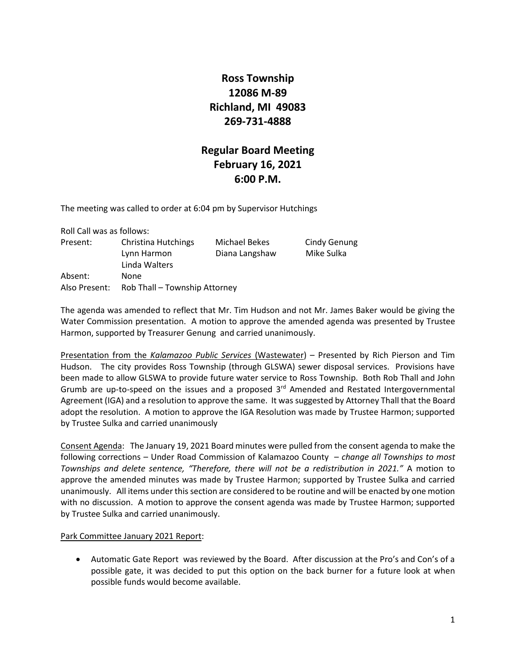# **Ross Township 12086 M-89 Richland, MI 49083 269-731-4888**

# **Regular Board Meeting February 16, 2021 6:00 P.M.**

The meeting was called to order at 6:04 pm by Supervisor Hutchings

| Roll Call was as follows: |                               |              |
|---------------------------|-------------------------------|--------------|
| Present:                  | Christina Hutchings           | Michael Beke |
|                           | Lynn Harmon                   | Diana Langsh |
|                           | Linda Walters                 |              |
| Absent:                   | None                          |              |
| Also Present:             | Rob Thall - Township Attorney |              |

es Cindy Genung haw Mike Sulka

The agenda was amended to reflect that Mr. Tim Hudson and not Mr. James Baker would be giving the Water Commission presentation. A motion to approve the amended agenda was presented by Trustee Harmon, supported by Treasurer Genung and carried unanimously.

Presentation from the *Kalamazoo Public Services* (Wastewater) – Presented by Rich Pierson and Tim Hudson. The city provides Ross Township (through GLSWA) sewer disposal services. Provisions have been made to allow GLSWA to provide future water service to Ross Township. Both Rob Thall and John Grumb are up-to-speed on the issues and a proposed 3<sup>rd</sup> Amended and Restated Intergovernmental Agreement (IGA) and a resolution to approve the same. It was suggested by Attorney Thall that the Board adopt the resolution. A motion to approve the IGA Resolution was made by Trustee Harmon; supported by Trustee Sulka and carried unanimously

Consent Agenda: The January 19, 2021 Board minutes were pulled from the consent agenda to make the following corrections – Under Road Commission of Kalamazoo County – *change all Townships to most Townships and delete sentence, "Therefore, there will not be a redistribution in 2021."* A motion to approve the amended minutes was made by Trustee Harmon; supported by Trustee Sulka and carried unanimously. All items under this section are considered to be routine and will be enacted by one motion with no discussion. A motion to approve the consent agenda was made by Trustee Harmon; supported by Trustee Sulka and carried unanimously.

#### Park Committee January 2021 Report:

• Automatic Gate Report was reviewed by the Board. After discussion at the Pro's and Con's of a possible gate, it was decided to put this option on the back burner for a future look at when possible funds would become available.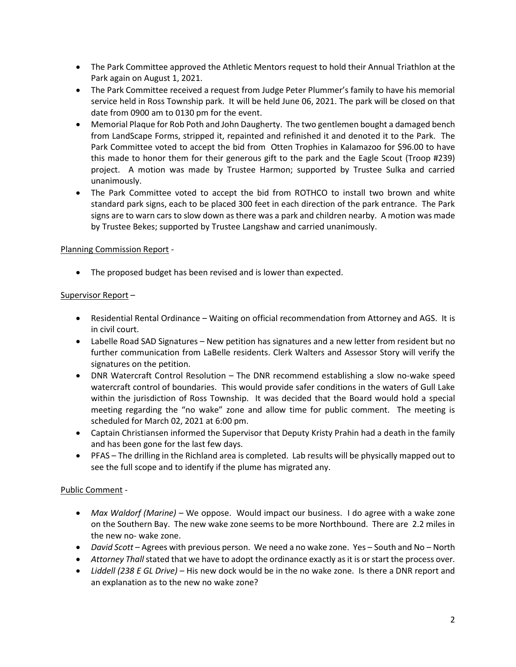- The Park Committee approved the Athletic Mentors request to hold their Annual Triathlon at the Park again on August 1, 2021.
- The Park Committee received a request from Judge Peter Plummer's family to have his memorial service held in Ross Township park. It will be held June 06, 2021. The park will be closed on that date from 0900 am to 0130 pm for the event.
- Memorial Plaque for Rob Poth and John Daugherty. The two gentlemen bought a damaged bench from LandScape Forms, stripped it, repainted and refinished it and denoted it to the Park. The Park Committee voted to accept the bid from Otten Trophies in Kalamazoo for \$96.00 to have this made to honor them for their generous gift to the park and the Eagle Scout (Troop #239) project. A motion was made by Trustee Harmon; supported by Trustee Sulka and carried unanimously.
- The Park Committee voted to accept the bid from ROTHCO to install two brown and white standard park signs, each to be placed 300 feet in each direction of the park entrance. The Park signs are to warn cars to slow down as there was a park and children nearby. A motion was made by Trustee Bekes; supported by Trustee Langshaw and carried unanimously.

### Planning Commission Report -

• The proposed budget has been revised and is lower than expected.

### Supervisor Report –

- Residential Rental Ordinance Waiting on official recommendation from Attorney and AGS. It is in civil court.
- Labelle Road SAD Signatures New petition has signatures and a new letter from resident but no further communication from LaBelle residents. Clerk Walters and Assessor Story will verify the signatures on the petition.
- DNR Watercraft Control Resolution The DNR recommend establishing a slow no-wake speed watercraft control of boundaries. This would provide safer conditions in the waters of Gull Lake within the jurisdiction of Ross Township. It was decided that the Board would hold a special meeting regarding the "no wake" zone and allow time for public comment. The meeting is scheduled for March 02, 2021 at 6:00 pm.
- Captain Christiansen informed the Supervisor that Deputy Kristy Prahin had a death in the family and has been gone for the last few days.
- PFAS The drilling in the Richland area is completed. Lab results will be physically mapped out to see the full scope and to identify if the plume has migrated any.

## Public Comment -

- *Max Waldorf (Marine)* We oppose. Would impact our business. I do agree with a wake zone on the Southern Bay. The new wake zone seems to be more Northbound. There are 2.2 miles in the new no- wake zone.
- *David Scott* Agrees with previous person. We need a no wake zone. Yes South and No North
- *Attorney Thall*stated that we have to adopt the ordinance exactly as it is or start the process over.
- *Liddell (238 E GL Drive)* His new dock would be in the no wake zone. Is there a DNR report and an explanation as to the new no wake zone?